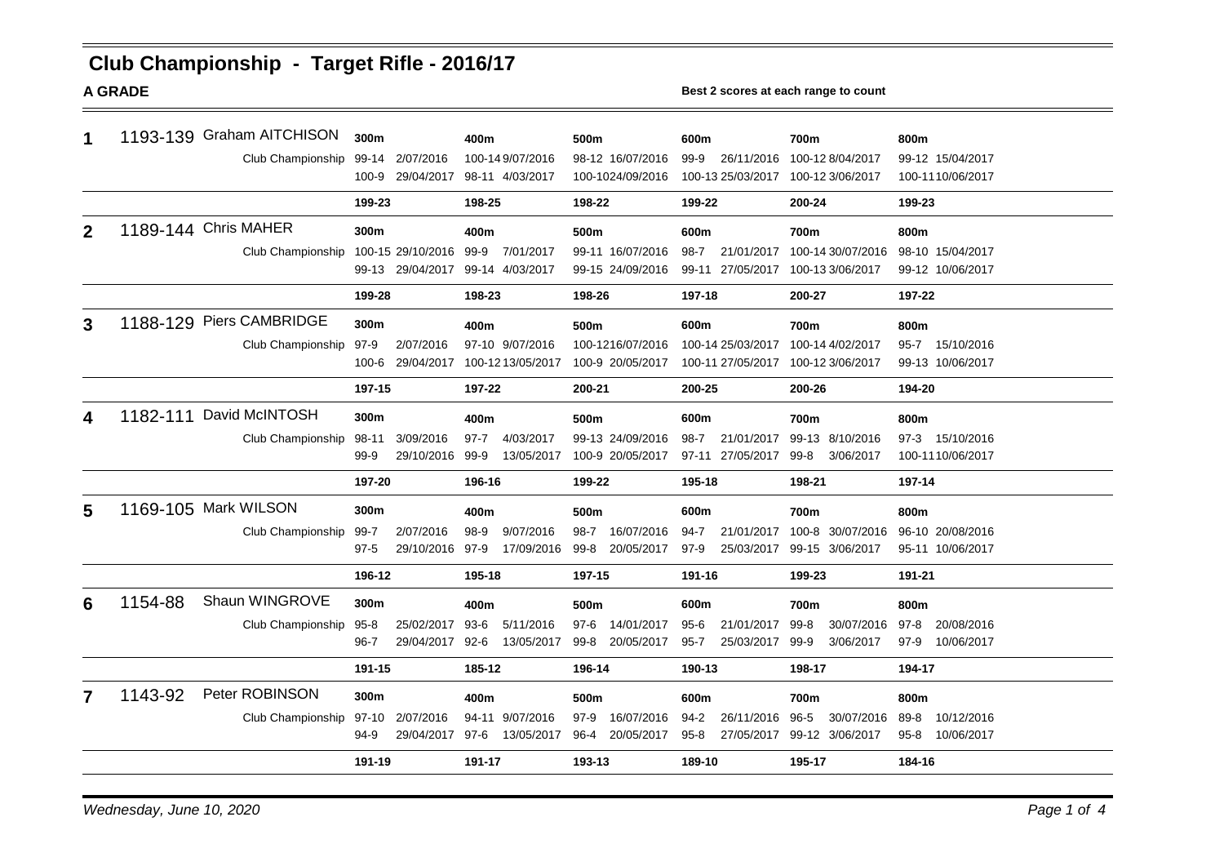# **Club Championship - Target Rifle - 2016/17**

**A GRADE Best 2 scores at each range to count**

| 1            |         | 1193-139 Graham AITCHISON<br>Club Championship | 300m<br>99-14<br>100-9 | 2/07/2016<br>29/04/2017 | 400m                      | 100-149/07/2016   | 500m             | 98-12 16/07/2016<br>100-1024/09/2016 | 600m<br>26/11/2016<br>$99-9$<br>100-13 25/03/2017 |                   | 700m<br>100-128/04/2017<br>100-12 3/06/2017 |                   | 800m<br>99-12 15/04/2017<br>100-1110/06/2017 |                  |  |
|--------------|---------|------------------------------------------------|------------------------|-------------------------|---------------------------|-------------------|------------------|--------------------------------------|---------------------------------------------------|-------------------|---------------------------------------------|-------------------|----------------------------------------------|------------------|--|
|              |         |                                                | 199-23                 |                         | 98-11 4/03/2017<br>198-25 |                   | 198-22<br>199-22 |                                      | 200-24                                            |                   | 199-23                                      |                   |                                              |                  |  |
| $\mathbf{2}$ |         | 1189-144 Chris MAHER                           |                        | 300m                    |                           | 400m              |                  | 500m                                 |                                                   | 600m              |                                             | 700m              |                                              |                  |  |
|              |         | Club Championship                              |                        | 100-15 29/10/2016       | 99-9                      | 7/01/2017         |                  | 99-11 16/07/2016                     | $98 - 7$                                          | 21/01/2017        |                                             | 100-14 30/07/2016 | 800m                                         | 98-10 15/04/2017 |  |
|              |         |                                                |                        | 99-13 29/04/2017        |                           | 99-14 4/03/2017   |                  | 99-15 24/09/2016                     | 99-11                                             | 27/05/2017        |                                             | 100-13 3/06/2017  |                                              | 99-12 10/06/2017 |  |
|              |         |                                                | 199-28                 |                         | 198-23                    |                   | 198-26           |                                      | 197-18                                            |                   | 200-27                                      |                   | 197-22                                       |                  |  |
| 3            |         | 1188-129 Piers CAMBRIDGE                       | 300m                   |                         | 400m                      |                   | 500m             |                                      | 600m                                              | 700m              |                                             |                   | 800m                                         |                  |  |
|              |         | Club Championship                              | 97-9                   | 2/07/2016               |                           | 97-10 9/07/2016   |                  | 100-1216/07/2016                     |                                                   | 100-14 25/03/2017 | 100-14 4/02/2017                            |                   | $95 - 7$                                     | 15/10/2016       |  |
|              |         |                                                | 100-6                  | 29/04/2017              |                           | 100-12 13/05/2017 |                  | 100-9 20/05/2017                     |                                                   | 100-11 27/05/2017 |                                             | 100-12 3/06/2017  |                                              | 99-13 10/06/2017 |  |
|              |         |                                                | 197-15                 |                         | 197-22                    |                   | 200-21           |                                      | 200-25                                            |                   | 200-26                                      |                   | 194-20                                       |                  |  |
| 4            |         | 1182-111 David McINTOSH                        | 300m                   |                         | 400m                      |                   | 500m             |                                      | 600m                                              |                   | 700m                                        |                   | 800m                                         |                  |  |
|              |         | Club Championship                              | 98-11                  | 3/09/2016               | $97 - 7$                  | 4/03/2017         |                  | 99-13 24/09/2016                     | $98 - 7$                                          | 21/01/2017        |                                             | 99-13 8/10/2016   |                                              | 97-3 15/10/2016  |  |
|              |         |                                                | 99-9                   | 29/10/2016              | 99-9                      | 13/05/2017        |                  | 100-9 20/05/2017                     |                                                   | 97-11 27/05/2017  | 99-8                                        | 3/06/2017         |                                              | 100-1110/06/2017 |  |
|              |         |                                                | 197-20                 |                         | 196-16                    |                   | 199-22           |                                      | 195-18                                            |                   | 198-21                                      |                   | 197-14                                       |                  |  |
| 5            |         | 1169-105 Mark WILSON                           | 300m                   |                         | 400m                      |                   | 500m             |                                      | 600m                                              |                   | 700m                                        |                   | 800m                                         |                  |  |
|              |         | Club Championship                              | 99-7                   | 2/07/2016               | $98-9$                    | 9/07/2016         | $98 - 7$         | 16/07/2016                           | $94 - 7$                                          | 21/01/2017        |                                             | 100-8 30/07/2016  |                                              | 96-10 20/08/2016 |  |
|              |         |                                                | $97 - 5$               | 29/10/2016              | 97-9                      | 17/09/2016        | $99 - 8$         | 20/05/2017                           | $97-9$                                            | 25/03/2017        |                                             | 99-15 3/06/2017   |                                              | 95-11 10/06/2017 |  |
|              |         |                                                | 196-12                 |                         | 195-18                    |                   | 197-15           |                                      | 191-16                                            |                   | 199-23                                      |                   | 191-21                                       |                  |  |
| 6            | 1154-88 | Shaun WINGROVE                                 | 300m                   |                         | 400m                      |                   | 500m             |                                      | 600m                                              |                   | 700m                                        |                   | 800m                                         |                  |  |
|              |         | Club Championship                              | $95 - 8$               | 25/02/2017              | 93-6                      | 5/11/2016         | $97 - 6$         | 14/01/2017                           | $95 - 6$                                          | 21/01/2017        | $99-8$                                      | 30/07/2016        | $97 - 8$                                     | 20/08/2016       |  |
|              |         |                                                | 96-7                   | 29/04/2017              | 92-6                      | 13/05/2017        | 99-8             | 20/05/2017                           | $95 - 7$                                          | 25/03/2017        | 99-9                                        | 3/06/2017         | $97-9$                                       | 10/06/2017       |  |
|              |         |                                                | 191-15                 |                         | 185-12                    |                   |                  | 196-14                               | 190-13                                            |                   | 198-17                                      |                   | 194-17                                       |                  |  |
| 7            | 1143-92 | Peter ROBINSON                                 | 300m                   |                         | 400m                      |                   | 500m             |                                      | 600m                                              |                   | 700m                                        |                   | 800m                                         |                  |  |
|              |         | Club Championship                              | 97-10                  | 2/07/2016               | 94-11                     | 9/07/2016         | $97-9$           | 16/07/2016                           | $94 - 2$                                          | 26/11/2016        | $96 - 5$                                    | 30/07/2016        | 89-8                                         | 10/12/2016       |  |
|              |         |                                                | 94-9                   | 29/04/2017              | 97-6                      | 13/05/2017        | 96-4             | 20/05/2017                           | $95 - 8$                                          | 27/05/2017        |                                             | 99-12 3/06/2017   | $95 - 8$                                     | 10/06/2017       |  |
|              |         |                                                | 191-19                 |                         | 191-17                    |                   |                  | 193-13                               |                                                   | 189-10            |                                             | 195-17            |                                              | 184-16           |  |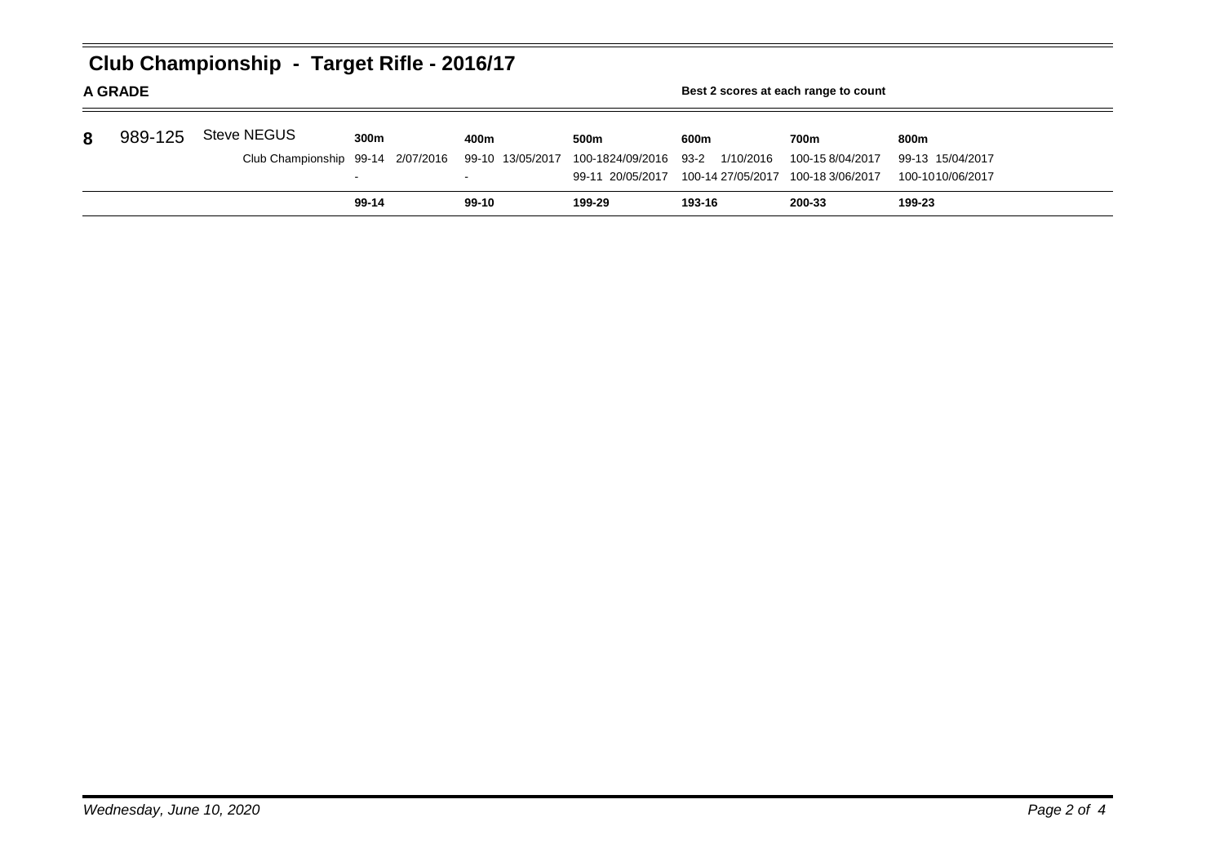|   | Club Championship - Target Rifle - 2016/17<br><b>A GRADE</b><br>Best 2 scores at each range to count |                    |                                   |                  |                   |                   |                  |                  |  |  |  |  |  |
|---|------------------------------------------------------------------------------------------------------|--------------------|-----------------------------------|------------------|-------------------|-------------------|------------------|------------------|--|--|--|--|--|
| 8 | 989-125                                                                                              | <b>Steve NEGUS</b> | 300m                              | 400m             | 500 <sub>m</sub>  | 600m              | 700m             | 800m             |  |  |  |  |  |
|   |                                                                                                      |                    | Club Championship 99-14 2/07/2016 | 99-10 13/05/2017 | 100-1824/09/2016  | 1/10/2016<br>93-2 | 100-158/04/2017  | 99-13 15/04/2017 |  |  |  |  |  |
|   |                                                                                                      |                    | 99-11 20/05/2017                  |                  | 100-14 27/05/2017 | 100-18 3/06/2017  | 100-1010/06/2017 |                  |  |  |  |  |  |
|   |                                                                                                      |                    | $99-14$                           | $99-10$          | 199-29            | 193-16            | 200-33           | 199-23           |  |  |  |  |  |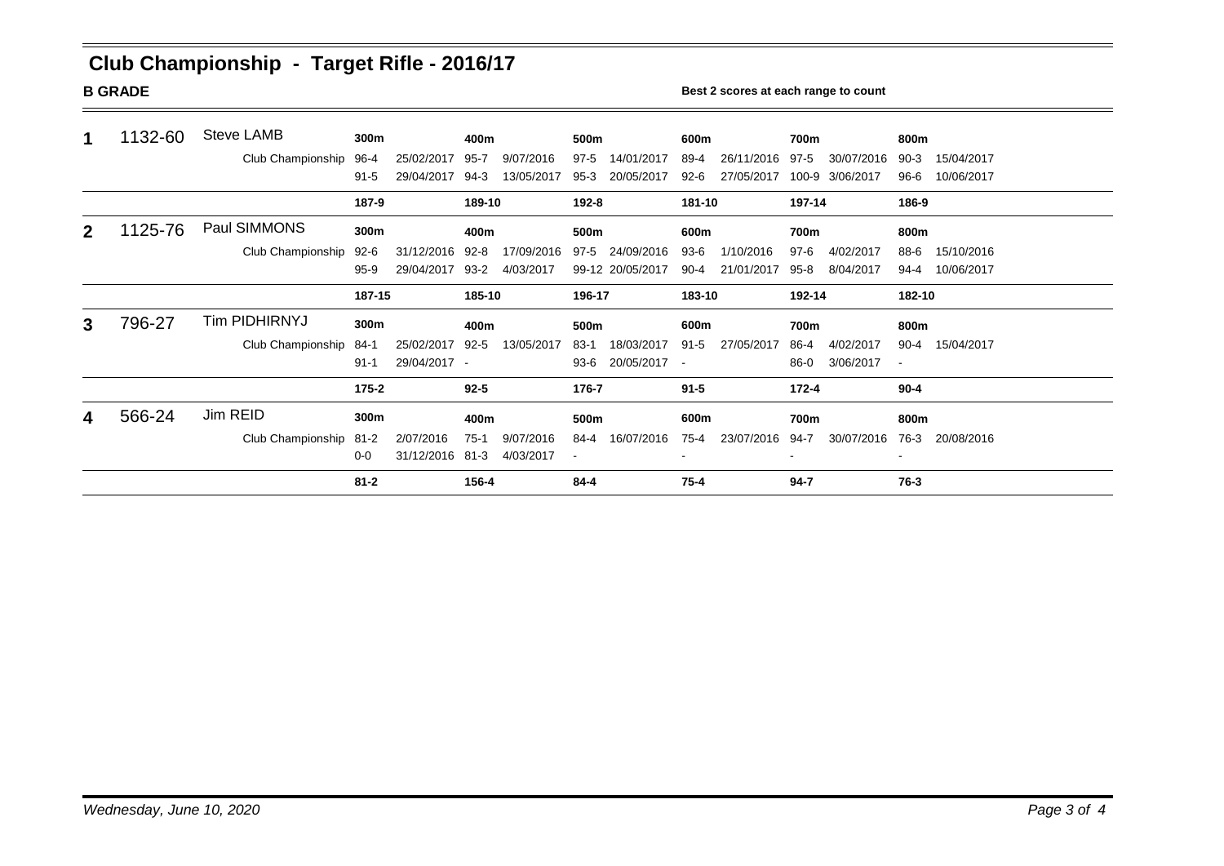# **Club Championship - Target Rifle - 2016/17**

**B GRADE BORADE BEST 2** scores at each range to count

| 1            | 1132-60 | Steve LAMB             | 300m      |                 | 400m     |            | 500m   |                  | 600m     |            | 700m     |                 | 800m     |            |
|--------------|---------|------------------------|-----------|-----------------|----------|------------|--------|------------------|----------|------------|----------|-----------------|----------|------------|
|              |         | Club Championship      | 96-4      | 25/02/2017      | $95 - 7$ | 9/07/2016  | 97-5   | 14/01/2017       | 89-4     | 26/11/2016 | $97-5$   | 30/07/2016      | $90-3$   | 15/04/2017 |
|              |         |                        | $91 - 5$  | 29/04/2017      | 94-3     | 13/05/2017 | $95-3$ | 20/05/2017       | 92-6     | 27/05/2017 |          | 100-9 3/06/2017 | 96-6     | 10/06/2017 |
|              |         |                        | 187-9     |                 | 189-10   |            | 192-8  |                  | 181-10   |            | 197-14   |                 | 186-9    |            |
| $\mathbf{2}$ | 1125-76 | Paul SIMMONS           | 300m      | 400m            |          |            | 500m   |                  | 600m     |            | 700m     |                 | 800m     |            |
|              |         | Club Championship      | 92-6      | 31/12/2016      | $92-8$   | 17/09/2016 | 97-5   | 24/09/2016       | 93-6     | 1/10/2016  | 97-6     | 4/02/2017       | 88-6     | 15/10/2016 |
|              |         |                        | $95-9$    | 29/04/2017      | 93-2     | 4/03/2017  |        | 99-12 20/05/2017 | 90-4     | 21/01/2017 | $95 - 8$ | 8/04/2017       | $94 - 4$ | 10/06/2017 |
|              |         |                        | 187-15    |                 |          | 185-10     |        | 196-17           |          | 183-10     |          | 192-14          |          | 182-10     |
| 3            | 796-27  | Tim PIDHIRNYJ          | 300m      |                 | 400m     |            | 500m   |                  | 600m     |            | 700m     |                 | 800m     |            |
|              |         | Club Championship      | 84-1      | 25/02/2017      | $92 - 5$ | 13/05/2017 | $83-1$ | 18/03/2017       | $91 - 5$ | 27/05/2017 | 86-4     | 4/02/2017       | $90 - 4$ | 15/04/2017 |
|              |         |                        | $91 - 1$  | 29/04/2017 -    |          |            | 93-6   | 20/05/2017 -     |          |            | 86-0     | 3/06/2017       |          |            |
|              |         |                        | $175 - 2$ |                 | $92 - 5$ |            | 176-7  |                  | $91 - 5$ |            | 172-4    |                 | $90 - 4$ |            |
| 4            | 566-24  | Jim REID               | 300m      |                 | 400m     |            | 500m   |                  | 600m     |            | 700m     |                 | 800m     |            |
|              |         | Club Championship 81-2 |           | 2/07/2016       | $75-1$   | 9/07/2016  | 84-4   | 16/07/2016       | 75-4     | 23/07/2016 | 94-7     | 30/07/2016      | 76-3     | 20/08/2016 |
|              |         |                        | $0 - 0$   | 31/12/2016 81-3 |          | 4/03/2017  |        |                  |          |            |          |                 | $\sim$   |            |
|              |         |                        | $81 - 2$  |                 | 156-4    |            | 84-4   |                  | $75 - 4$ |            | $94 - 7$ |                 | 76-3     |            |